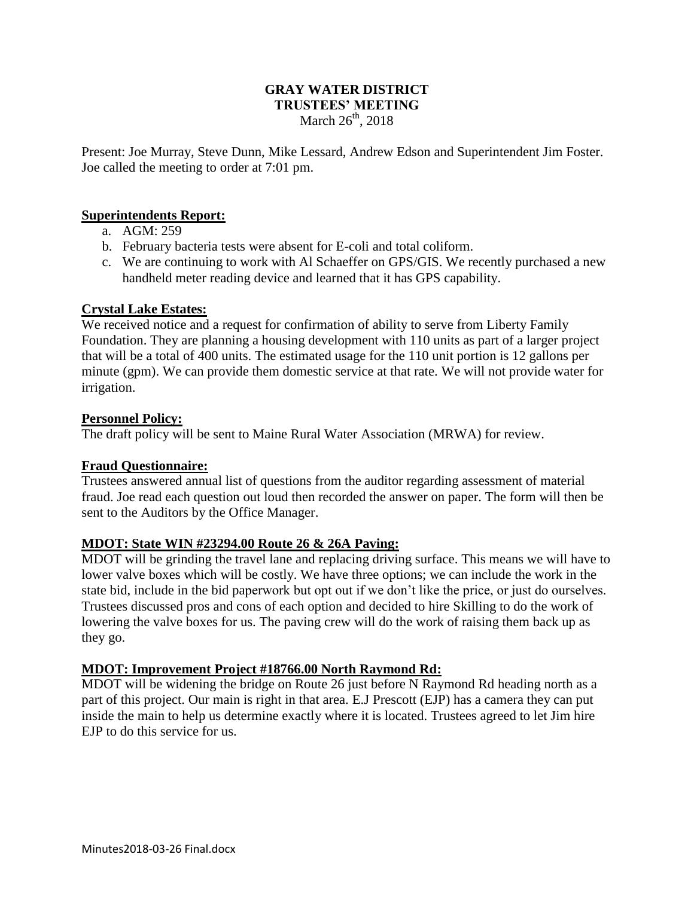## **GRAY WATER DISTRICT TRUSTEES' MEETING** March  $26<sup>th</sup>$ , 2018

Present: Joe Murray, Steve Dunn, Mike Lessard, Andrew Edson and Superintendent Jim Foster. Joe called the meeting to order at 7:01 pm.

#### **Superintendents Report:**

- a. AGM: 259
- b. February bacteria tests were absent for E-coli and total coliform.
- c. We are continuing to work with Al Schaeffer on GPS/GIS. We recently purchased a new handheld meter reading device and learned that it has GPS capability.

# **Crystal Lake Estates:**

We received notice and a request for confirmation of ability to serve from Liberty Family Foundation. They are planning a housing development with 110 units as part of a larger project that will be a total of 400 units. The estimated usage for the 110 unit portion is 12 gallons per minute (gpm). We can provide them domestic service at that rate. We will not provide water for irrigation.

#### **Personnel Policy:**

The draft policy will be sent to Maine Rural Water Association (MRWA) for review.

# **Fraud Questionnaire:**

Trustees answered annual list of questions from the auditor regarding assessment of material fraud. Joe read each question out loud then recorded the answer on paper. The form will then be sent to the Auditors by the Office Manager.

# **MDOT: State WIN #23294.00 Route 26 & 26A Paving:**

MDOT will be grinding the travel lane and replacing driving surface. This means we will have to lower valve boxes which will be costly. We have three options; we can include the work in the state bid, include in the bid paperwork but opt out if we don't like the price, or just do ourselves. Trustees discussed pros and cons of each option and decided to hire Skilling to do the work of lowering the valve boxes for us. The paving crew will do the work of raising them back up as they go.

# **MDOT: Improvement Project #18766.00 North Raymond Rd:**

MDOT will be widening the bridge on Route 26 just before N Raymond Rd heading north as a part of this project. Our main is right in that area. E.J Prescott (EJP) has a camera they can put inside the main to help us determine exactly where it is located. Trustees agreed to let Jim hire EJP to do this service for us.